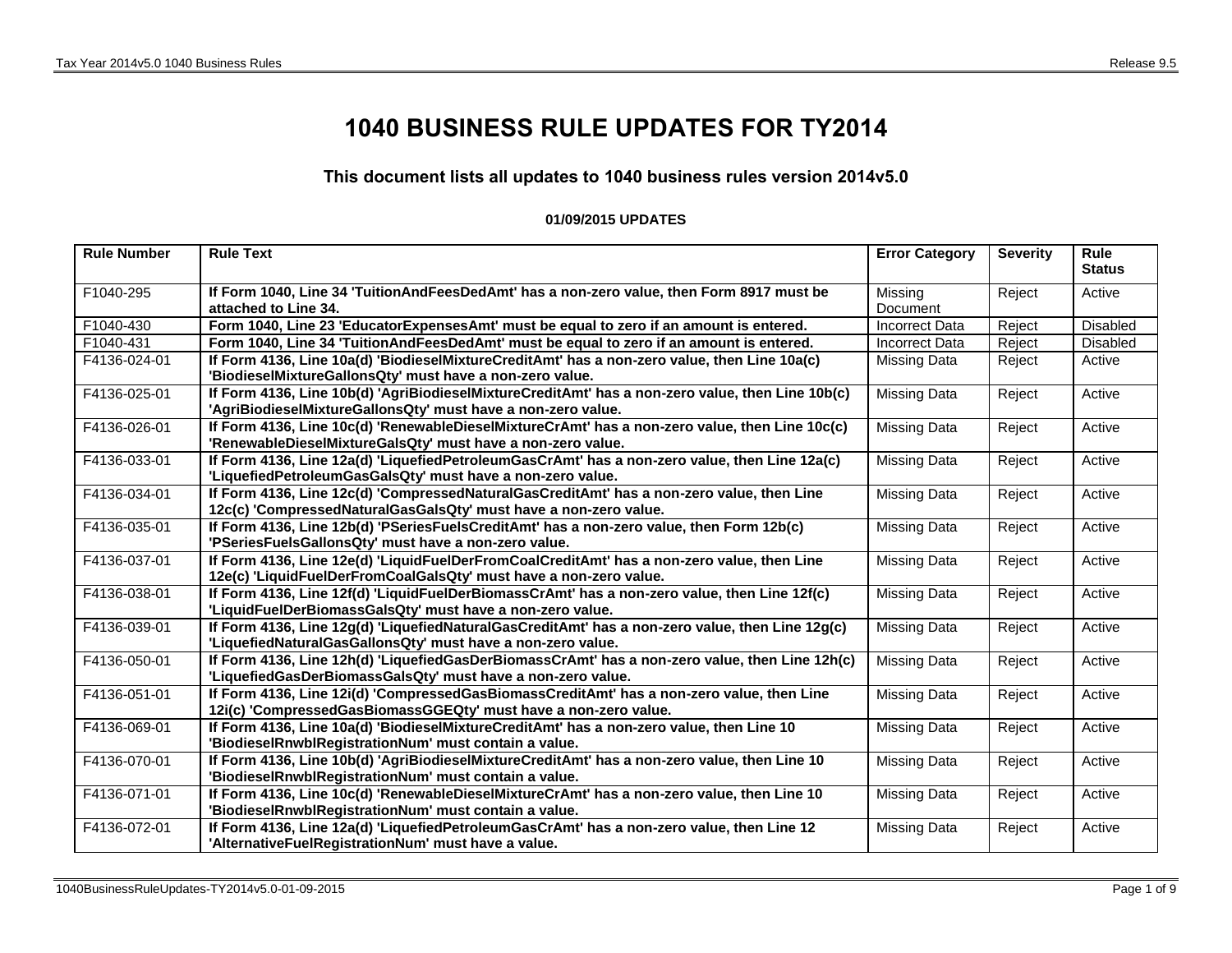## **1040 BUSINESS RULE UPDATES FOR TY2014**

## **This document lists all updates to 1040 business rules version 2014v5.0**

## **01/09/2015 UPDATES**

| <b>Rule Number</b> | <b>Rule Text</b>                                                                                                                                                 | <b>Error Category</b> | <b>Severity</b> | <b>Rule</b><br><b>Status</b> |
|--------------------|------------------------------------------------------------------------------------------------------------------------------------------------------------------|-----------------------|-----------------|------------------------------|
| F1040-295          | If Form 1040, Line 34 'TuitionAndFeesDedAmt' has a non-zero value, then Form 8917 must be                                                                        | Missing               | Reject          | Active                       |
|                    | attached to Line 34.                                                                                                                                             | Document              |                 |                              |
| F1040-430          | Form 1040, Line 23 'EducatorExpensesAmt' must be equal to zero if an amount is entered.                                                                          | <b>Incorrect Data</b> | Reject          | Disabled                     |
| F1040-431          | Form 1040, Line 34 'TuitionAndFeesDedAmt' must be equal to zero if an amount is entered.                                                                         | <b>Incorrect Data</b> | Reject          | <b>Disabled</b>              |
| F4136-024-01       | If Form 4136, Line 10a(d) 'BiodieselMixtureCreditAmt' has a non-zero value, then Line 10a(c)<br>'BiodieselMixtureGallonsQty' must have a non-zero value.         | <b>Missing Data</b>   | Reject          | Active                       |
| F4136-025-01       | If Form 4136, Line 10b(d) 'AgriBiodieselMixtureCreditAmt' has a non-zero value, then Line 10b(c)<br>'AgriBiodieselMixtureGallonsQty' must have a non-zero value. | <b>Missing Data</b>   | Reject          | Active                       |
| F4136-026-01       | If Form 4136, Line 10c(d) 'RenewableDieselMixtureCrAmt' has a non-zero value, then Line 10c(c)<br>'RenewableDieselMixtureGalsQty' must have a non-zero value.    | <b>Missing Data</b>   | Reject          | Active                       |
| F4136-033-01       | If Form 4136, Line 12a(d) 'LiquefiedPetroleumGasCrAmt' has a non-zero value, then Line 12a(c)<br>'LiquefiedPetroleumGasGalsQty' must have a non-zero value.      | <b>Missing Data</b>   | Reject          | Active                       |
| F4136-034-01       | If Form 4136, Line 12c(d) 'CompressedNaturalGasCreditAmt' has a non-zero value, then Line<br>12c(c) 'CompressedNaturalGasGalsQty' must have a non-zero value.    | <b>Missing Data</b>   | Reject          | Active                       |
| F4136-035-01       | If Form 4136, Line 12b(d) 'PSeriesFuelsCreditAmt' has a non-zero value, then Form 12b(c)<br>'PSeriesFuelsGallonsQty' must have a non-zero value.                 | <b>Missing Data</b>   | Reject          | Active                       |
| F4136-037-01       | If Form 4136, Line 12e(d) 'LiquidFuelDerFromCoalCreditAmt' has a non-zero value, then Line<br>12e(c) 'LiquidFuelDerFromCoalGalsQty' must have a non-zero value.  | <b>Missing Data</b>   | Reject          | Active                       |
| F4136-038-01       | If Form 4136, Line 12f(d) 'LiquidFuelDerBiomassCrAmt' has a non-zero value, then Line 12f(c)<br>'LiquidFuelDerBiomassGalsQty' must have a non-zero value.        | <b>Missing Data</b>   | Reject          | Active                       |
| F4136-039-01       | If Form 4136, Line 12g(d) 'LiquefiedNaturalGasCreditAmt' has a non-zero value, then Line 12g(c)<br>'LiquefiedNaturalGasGallonsQty' must have a non-zero value.   | <b>Missing Data</b>   | Reject          | Active                       |
| F4136-050-01       | If Form 4136, Line 12h(d) 'LiquefiedGasDerBiomassCrAmt' has a non-zero value, then Line 12h(c)<br>'LiquefiedGasDerBiomassGalsQty' must have a non-zero value.    | <b>Missing Data</b>   | Reject          | Active                       |
| F4136-051-01       | If Form 4136, Line 12i(d) 'CompressedGasBiomassCreditAmt' has a non-zero value, then Line<br>12i(c) 'CompressedGasBiomassGGEQty' must have a non-zero value.     | <b>Missing Data</b>   | Reject          | Active                       |
| F4136-069-01       | If Form 4136, Line 10a(d) 'BiodieselMixtureCreditAmt' has a non-zero value, then Line 10<br>'BiodieselRnwblRegistrationNum' must contain a value.                | <b>Missing Data</b>   | Reject          | Active                       |
| F4136-070-01       | If Form 4136, Line 10b(d) 'AgriBiodieselMixtureCreditAmt' has a non-zero value, then Line 10<br>'BiodieselRnwblRegistrationNum' must contain a value.            | <b>Missing Data</b>   | Reject          | Active                       |
| F4136-071-01       | If Form 4136, Line 10c(d) 'RenewableDieselMixtureCrAmt' has a non-zero value, then Line 10<br>'BiodieselRnwblRegistrationNum' must contain a value.              | <b>Missing Data</b>   | Reject          | Active                       |
| F4136-072-01       | If Form 4136, Line 12a(d) 'LiquefiedPetroleumGasCrAmt' has a non-zero value, then Line 12<br>'AlternativeFuelRegistrationNum' must have a value.                 | <b>Missing Data</b>   | Reject          | Active                       |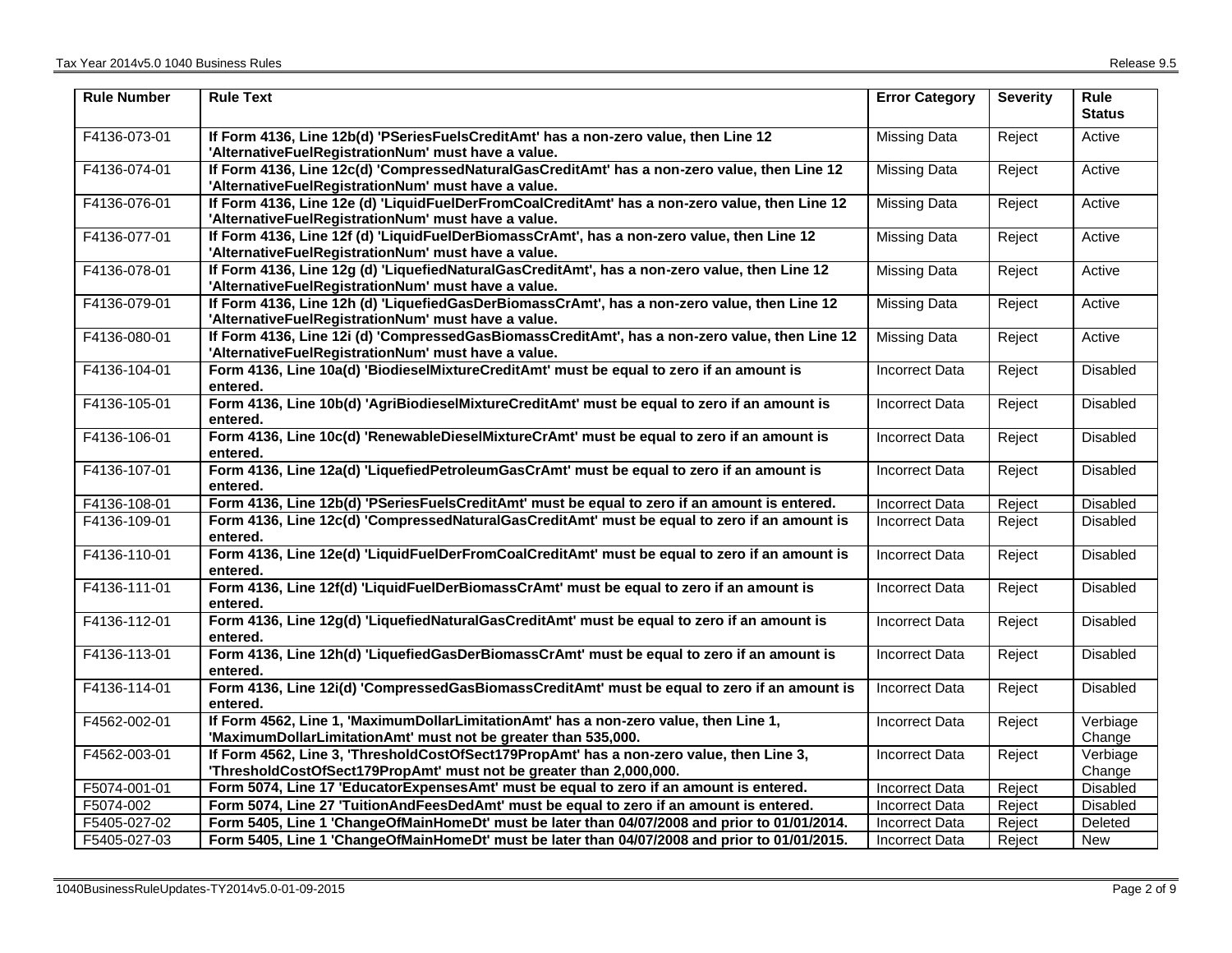| <b>Rule Number</b> | <b>Rule Text</b>                                                                                                                                                | <b>Error Category</b> | <b>Severity</b> | Rule<br><b>Status</b> |
|--------------------|-----------------------------------------------------------------------------------------------------------------------------------------------------------------|-----------------------|-----------------|-----------------------|
| F4136-073-01       | If Form 4136, Line 12b(d) 'PSeriesFuelsCreditAmt' has a non-zero value, then Line 12<br>'AlternativeFuelRegistrationNum' must have a value.                     | <b>Missing Data</b>   | Reject          | Active                |
| F4136-074-01       | If Form 4136, Line 12c(d) 'CompressedNaturalGasCreditAmt' has a non-zero value, then Line 12<br>'AlternativeFuelRegistrationNum' must have a value.             | <b>Missing Data</b>   | Reject          | Active                |
| F4136-076-01       | If Form 4136, Line 12e (d) 'LiquidFuelDerFromCoalCreditAmt' has a non-zero value, then Line 12<br>'AlternativeFuelRegistrationNum' must have a value.           | Missing Data          | Reject          | Active                |
| F4136-077-01       | If Form 4136, Line 12f (d) 'LiquidFuelDerBiomassCrAmt', has a non-zero value, then Line 12<br>'AlternativeFuelRegistrationNum' must have a value.               | <b>Missing Data</b>   | Reject          | Active                |
| F4136-078-01       | If Form 4136, Line 12g (d) 'LiquefiedNaturalGasCreditAmt', has a non-zero value, then Line 12<br>'AlternativeFuelRegistrationNum' must have a value.            | <b>Missing Data</b>   | Reject          | Active                |
| F4136-079-01       | If Form 4136, Line 12h (d) 'LiquefiedGasDerBiomassCrAmt', has a non-zero value, then Line 12<br>'AlternativeFuelRegistrationNum' must have a value.             | <b>Missing Data</b>   | Reject          | Active                |
| F4136-080-01       | If Form 4136, Line 12i (d) 'CompressedGasBiomassCreditAmt', has a non-zero value, then Line 12<br>'AlternativeFuelRegistrationNum' must have a value.           | <b>Missing Data</b>   | Reject          | Active                |
| F4136-104-01       | Form 4136, Line 10a(d) 'BiodieselMixtureCreditAmt' must be equal to zero if an amount is<br>entered.                                                            | <b>Incorrect Data</b> | Reject          | <b>Disabled</b>       |
| F4136-105-01       | Form 4136, Line 10b(d) 'AgriBiodieselMixtureCreditAmt' must be equal to zero if an amount is<br>entered.                                                        | <b>Incorrect Data</b> | Reject          | Disabled              |
| F4136-106-01       | Form 4136, Line 10c(d) 'RenewableDieselMixtureCrAmt' must be equal to zero if an amount is<br>entered.                                                          | <b>Incorrect Data</b> | Reject          | Disabled              |
| F4136-107-01       | Form 4136, Line 12a(d) 'LiquefiedPetroleumGasCrAmt' must be equal to zero if an amount is<br>entered.                                                           | <b>Incorrect Data</b> | Reject          | <b>Disabled</b>       |
| F4136-108-01       | Form 4136, Line 12b(d) 'PSeriesFuelsCreditAmt' must be equal to zero if an amount is entered.                                                                   | <b>Incorrect Data</b> | Reject          | Disabled              |
| F4136-109-01       | Form 4136, Line 12c(d) 'CompressedNaturalGasCreditAmt' must be equal to zero if an amount is<br>entered.                                                        | <b>Incorrect Data</b> | Reject          | Disabled              |
| F4136-110-01       | Form 4136, Line 12e(d) 'LiquidFuelDerFromCoalCreditAmt' must be equal to zero if an amount is<br>entered.                                                       | Incorrect Data        | Reject          | <b>Disabled</b>       |
| F4136-111-01       | Form 4136, Line 12f(d) 'LiquidFuelDerBiomassCrAmt' must be equal to zero if an amount is<br>entered.                                                            | <b>Incorrect Data</b> | Reject          | <b>Disabled</b>       |
| F4136-112-01       | Form 4136, Line 12g(d) 'LiquefiedNaturalGasCreditAmt' must be equal to zero if an amount is<br>entered.                                                         | <b>Incorrect Data</b> | Reject          | Disabled              |
| F4136-113-01       | Form 4136, Line 12h(d) 'LiquefiedGasDerBiomassCrAmt' must be equal to zero if an amount is<br>entered.                                                          | <b>Incorrect Data</b> | Reject          | Disabled              |
| F4136-114-01       | Form 4136, Line 12i(d) 'CompressedGasBiomassCreditAmt' must be equal to zero if an amount is<br>entered.                                                        | <b>Incorrect Data</b> | Reject          | Disabled              |
| F4562-002-01       | If Form 4562, Line 1, 'MaximumDollarLimitationAmt' has a non-zero value, then Line 1,<br>'MaximumDollarLimitationAmt' must not be greater than 535,000.         | <b>Incorrect Data</b> | Reject          | Verbiage<br>Change    |
| F4562-003-01       | If Form 4562, Line 3, 'ThresholdCostOfSect179PropAmt' has a non-zero value, then Line 3,<br>'ThresholdCostOfSect179PropAmt' must not be greater than 2,000,000. | <b>Incorrect Data</b> | Reject          | Verbiage<br>Change    |
| F5074-001-01       | Form 5074, Line 17 'EducatorExpensesAmt' must be equal to zero if an amount is entered.                                                                         | <b>Incorrect Data</b> | Reject          | Disabled              |
| F5074-002          | Form 5074, Line 27 'TuitionAndFeesDedAmt' must be equal to zero if an amount is entered.                                                                        | <b>Incorrect Data</b> | Reject          | <b>Disabled</b>       |
| F5405-027-02       | Form 5405, Line 1 'ChangeOfMainHomeDt' must be later than 04/07/2008 and prior to 01/01/2014.                                                                   | <b>Incorrect Data</b> | Reject          | Deleted               |
| F5405-027-03       | Form 5405, Line 1 'ChangeOfMainHomeDt' must be later than 04/07/2008 and prior to 01/01/2015.                                                                   | <b>Incorrect Data</b> | Reject          | New                   |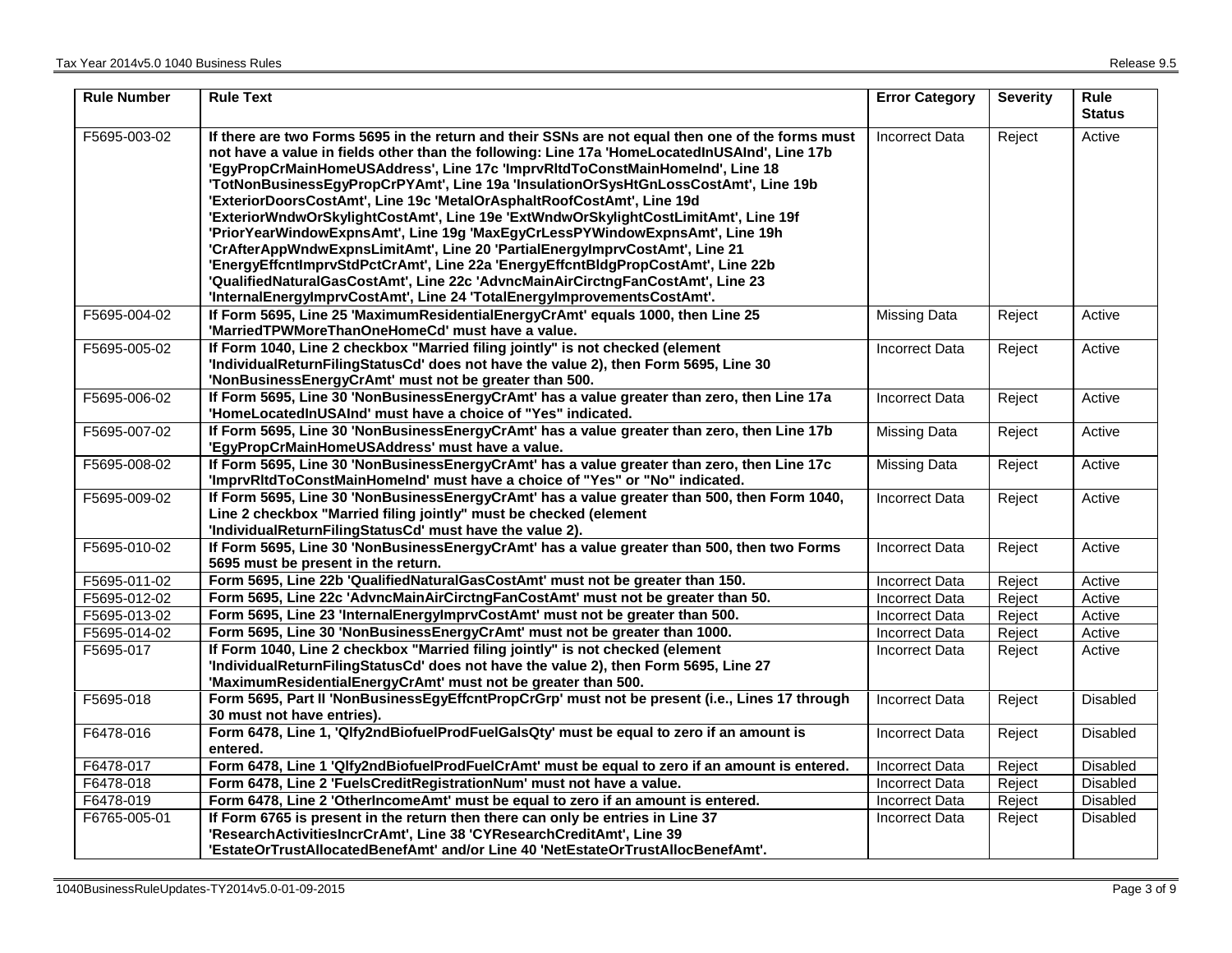| <b>Rule Number</b> | <b>Rule Text</b>                                                                                                                                                                                                                                                                                                                                                                                                                                                                                                                                                                                                                                                                                                                                                                                                                                                                                                                                             | <b>Error Category</b> | <b>Severity</b> | <b>Rule</b><br><b>Status</b> |
|--------------------|--------------------------------------------------------------------------------------------------------------------------------------------------------------------------------------------------------------------------------------------------------------------------------------------------------------------------------------------------------------------------------------------------------------------------------------------------------------------------------------------------------------------------------------------------------------------------------------------------------------------------------------------------------------------------------------------------------------------------------------------------------------------------------------------------------------------------------------------------------------------------------------------------------------------------------------------------------------|-----------------------|-----------------|------------------------------|
| F5695-003-02       | If there are two Forms 5695 in the return and their SSNs are not equal then one of the forms must<br>not have a value in fields other than the following: Line 17a 'HomeLocatedInUSAInd', Line 17b<br>'EgyPropCrMainHomeUSAddress', Line 17c 'ImprvRItdToConstMainHomeInd', Line 18<br>'TotNonBusinessEgyPropCrPYAmt', Line 19a 'InsulationOrSysHtGnLossCostAmt', Line 19b<br>'ExteriorDoorsCostAmt', Line 19c 'MetalOrAsphaltRoofCostAmt', Line 19d<br>'ExteriorWndwOrSkylightCostAmt', Line 19e 'ExtWndwOrSkylightCostLimitAmt', Line 19f<br>'PriorYearWindowExpnsAmt', Line 19g 'MaxEgyCrLessPYWindowExpnsAmt', Line 19h<br>'CrAfterAppWndwExpnsLimitAmt', Line 20 'PartialEnergyImprvCostAmt', Line 21<br>'EnergyEffcntImprvStdPctCrAmt', Line 22a 'EnergyEffcntBldgPropCostAmt', Line 22b<br>'QualifiedNaturalGasCostAmt', Line 22c 'AdvncMainAirCirctngFanCostAmt', Line 23<br>'InternalEnergyImprvCostAmt', Line 24 'TotalEnergyImprovementsCostAmt'. | <b>Incorrect Data</b> | Reject          | Active                       |
| F5695-004-02       | If Form 5695, Line 25 'MaximumResidentialEnergyCrAmt' equals 1000, then Line 25<br>'MarriedTPWMoreThanOneHomeCd' must have a value.                                                                                                                                                                                                                                                                                                                                                                                                                                                                                                                                                                                                                                                                                                                                                                                                                          | <b>Missing Data</b>   | Reject          | Active                       |
| F5695-005-02       | If Form 1040, Line 2 checkbox "Married filing jointly" is not checked (element<br>'IndividualReturnFilingStatusCd' does not have the value 2), then Form 5695, Line 30<br>'NonBusinessEnergyCrAmt' must not be greater than 500.                                                                                                                                                                                                                                                                                                                                                                                                                                                                                                                                                                                                                                                                                                                             | <b>Incorrect Data</b> | Reject          | Active                       |
| F5695-006-02       | If Form 5695, Line 30 'NonBusinessEnergyCrAmt' has a value greater than zero, then Line 17a<br>'HomeLocatedInUSAInd' must have a choice of "Yes" indicated.                                                                                                                                                                                                                                                                                                                                                                                                                                                                                                                                                                                                                                                                                                                                                                                                  | <b>Incorrect Data</b> | Reject          | Active                       |
| F5695-007-02       | If Form 5695, Line 30 'NonBusinessEnergyCrAmt' has a value greater than zero, then Line 17b<br>'EgyPropCrMainHomeUSAddress' must have a value.                                                                                                                                                                                                                                                                                                                                                                                                                                                                                                                                                                                                                                                                                                                                                                                                               | <b>Missing Data</b>   | Reject          | Active                       |
| F5695-008-02       | If Form 5695, Line 30 'NonBusinessEnergyCrAmt' has a value greater than zero, then Line 17c<br>'ImprvRItdToConstMainHomeInd' must have a choice of "Yes" or "No" indicated.                                                                                                                                                                                                                                                                                                                                                                                                                                                                                                                                                                                                                                                                                                                                                                                  | Missing Data          | Reject          | Active                       |
| F5695-009-02       | If Form 5695, Line 30 'NonBusinessEnergyCrAmt' has a value greater than 500, then Form 1040,<br>Line 2 checkbox "Married filing jointly" must be checked (element<br>'IndividualReturnFilingStatusCd' must have the value 2).                                                                                                                                                                                                                                                                                                                                                                                                                                                                                                                                                                                                                                                                                                                                | <b>Incorrect Data</b> | Reject          | Active                       |
| F5695-010-02       | If Form 5695, Line 30 'NonBusinessEnergyCrAmt' has a value greater than 500, then two Forms<br>5695 must be present in the return.                                                                                                                                                                                                                                                                                                                                                                                                                                                                                                                                                                                                                                                                                                                                                                                                                           | <b>Incorrect Data</b> | Reject          | Active                       |
| F5695-011-02       | Form 5695, Line 22b 'QualifiedNaturalGasCostAmt' must not be greater than 150.                                                                                                                                                                                                                                                                                                                                                                                                                                                                                                                                                                                                                                                                                                                                                                                                                                                                               | Incorrect Data        | Reject          | Active                       |
| F5695-012-02       | Form 5695, Line 22c 'AdvncMainAirCirctngFanCostAmt' must not be greater than 50.                                                                                                                                                                                                                                                                                                                                                                                                                                                                                                                                                                                                                                                                                                                                                                                                                                                                             | <b>Incorrect Data</b> | Reject          | Active                       |
| F5695-013-02       | Form 5695, Line 23 'InternalEnergyImprvCostAmt' must not be greater than 500.                                                                                                                                                                                                                                                                                                                                                                                                                                                                                                                                                                                                                                                                                                                                                                                                                                                                                | <b>Incorrect Data</b> | Reject          | Active                       |
| F5695-014-02       | Form 5695, Line 30 'NonBusinessEnergyCrAmt' must not be greater than 1000.                                                                                                                                                                                                                                                                                                                                                                                                                                                                                                                                                                                                                                                                                                                                                                                                                                                                                   | Incorrect Data        | Reject          | Active                       |
| F5695-017          | If Form 1040, Line 2 checkbox "Married filing jointly" is not checked (element<br>'IndividualReturnFilingStatusCd' does not have the value 2), then Form 5695, Line 27<br>'MaximumResidentialEnergyCrAmt' must not be greater than 500.                                                                                                                                                                                                                                                                                                                                                                                                                                                                                                                                                                                                                                                                                                                      | <b>Incorrect Data</b> | Reject          | Active                       |
| F5695-018          | Form 5695, Part II 'NonBusinessEgyEffcntPropCrGrp' must not be present (i.e., Lines 17 through<br>30 must not have entries).                                                                                                                                                                                                                                                                                                                                                                                                                                                                                                                                                                                                                                                                                                                                                                                                                                 | <b>Incorrect Data</b> | Reject          | <b>Disabled</b>              |
| F6478-016          | Form 6478, Line 1, 'Qlfy2ndBiofuelProdFuelGalsQty' must be equal to zero if an amount is<br>entered.                                                                                                                                                                                                                                                                                                                                                                                                                                                                                                                                                                                                                                                                                                                                                                                                                                                         | <b>Incorrect Data</b> | Reject          | Disabled                     |
| F6478-017          | Form 6478, Line 1 'Qlfy2ndBiofuelProdFuelCrAmt' must be equal to zero if an amount is entered.                                                                                                                                                                                                                                                                                                                                                                                                                                                                                                                                                                                                                                                                                                                                                                                                                                                               | <b>Incorrect Data</b> | Reject          | <b>Disabled</b>              |
| F6478-018          | Form 6478, Line 2 'FuelsCreditRegistrationNum' must not have a value.                                                                                                                                                                                                                                                                                                                                                                                                                                                                                                                                                                                                                                                                                                                                                                                                                                                                                        | <b>Incorrect Data</b> | Reject          | Disabled                     |
| F6478-019          | Form 6478, Line 2 'OtherIncomeAmt' must be equal to zero if an amount is entered.                                                                                                                                                                                                                                                                                                                                                                                                                                                                                                                                                                                                                                                                                                                                                                                                                                                                            | <b>Incorrect Data</b> | Reject          | Disabled                     |
| F6765-005-01       | If Form 6765 is present in the return then there can only be entries in Line 37<br>'ResearchActivitiesIncrCrAmt', Line 38 'CYResearchCreditAmt', Line 39                                                                                                                                                                                                                                                                                                                                                                                                                                                                                                                                                                                                                                                                                                                                                                                                     | <b>Incorrect Data</b> | Reject          | Disabled                     |
|                    | 'EstateOrTrustAllocatedBenefAmt' and/or Line 40 'NetEstateOrTrustAllocBenefAmt'.                                                                                                                                                                                                                                                                                                                                                                                                                                                                                                                                                                                                                                                                                                                                                                                                                                                                             |                       |                 |                              |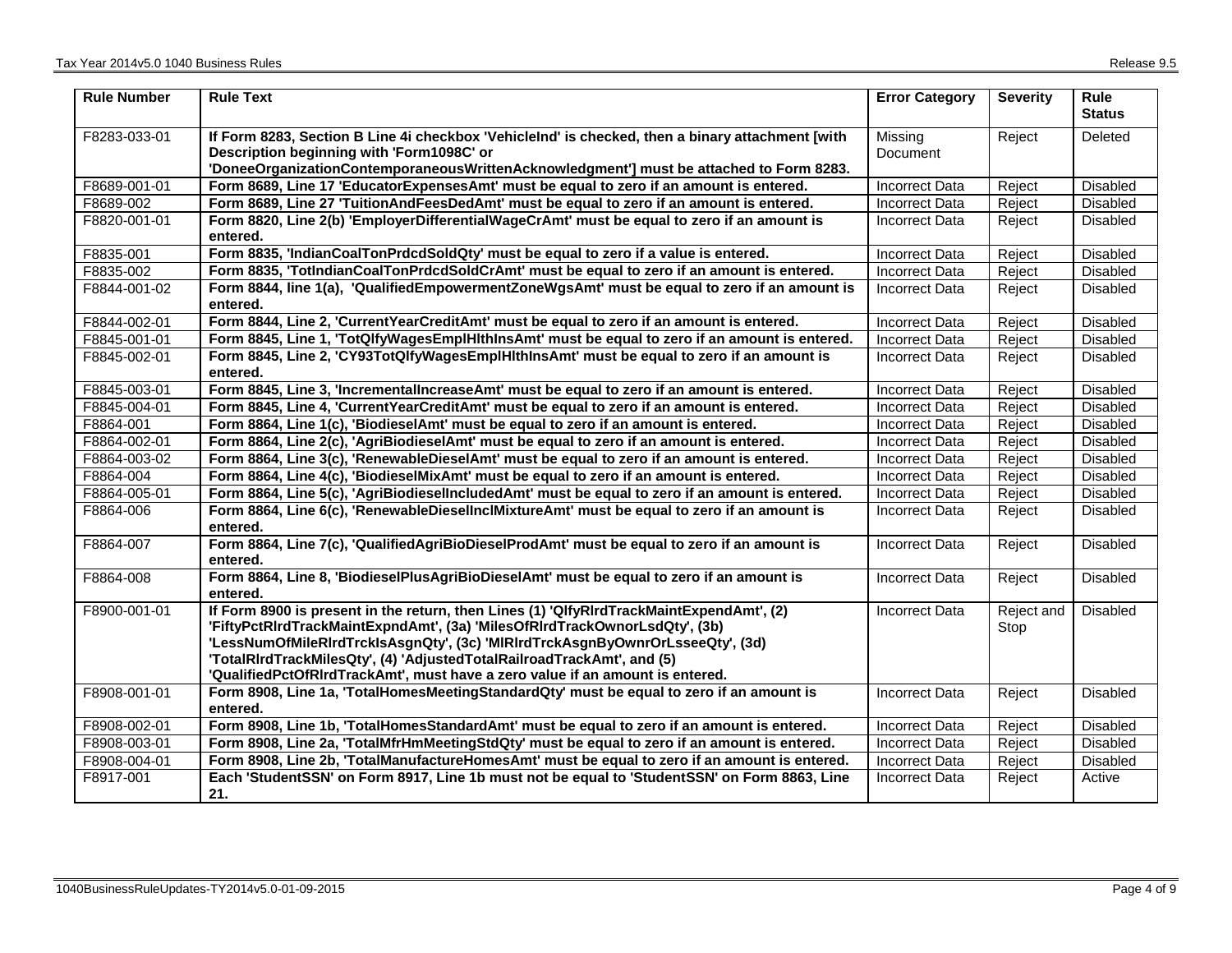| <b>Rule Number</b> | <b>Rule Text</b>                                                                                                                                                                                                                                                                                                                                                                                                   | <b>Error Category</b> | <b>Severity</b>    | Rule<br><b>Status</b> |
|--------------------|--------------------------------------------------------------------------------------------------------------------------------------------------------------------------------------------------------------------------------------------------------------------------------------------------------------------------------------------------------------------------------------------------------------------|-----------------------|--------------------|-----------------------|
| F8283-033-01       | If Form 8283, Section B Line 4i checkbox 'VehicleInd' is checked, then a binary attachment [with<br>Description beginning with 'Form1098C' or<br>'DoneeOrganizationContemporaneousWrittenAcknowledgment'] must be attached to Form 8283.                                                                                                                                                                           | Missing<br>Document   | Reject             | Deleted               |
| F8689-001-01       | Form 8689, Line 17 'EducatorExpensesAmt' must be equal to zero if an amount is entered.                                                                                                                                                                                                                                                                                                                            | Incorrect Data        | Reject             | <b>Disabled</b>       |
| F8689-002          | Form 8689, Line 27 'TuitionAndFeesDedAmt' must be equal to zero if an amount is entered.                                                                                                                                                                                                                                                                                                                           | Incorrect Data        | Reject             | <b>Disabled</b>       |
| F8820-001-01       | Form 8820, Line 2(b) 'EmployerDifferentialWageCrAmt' must be equal to zero if an amount is<br>entered.                                                                                                                                                                                                                                                                                                             | <b>Incorrect Data</b> | Reject             | <b>Disabled</b>       |
| F8835-001          | Form 8835, 'IndianCoalTonPrdcdSoldQty' must be equal to zero if a value is entered.                                                                                                                                                                                                                                                                                                                                | <b>Incorrect Data</b> | Reject             | <b>Disabled</b>       |
| F8835-002          | Form 8835, 'TotIndianCoalTonPrdcdSoldCrAmt' must be equal to zero if an amount is entered.                                                                                                                                                                                                                                                                                                                         | Incorrect Data        | Reject             | <b>Disabled</b>       |
| F8844-001-02       | Form 8844, line 1(a), 'QualifiedEmpowermentZoneWgsAmt' must be equal to zero if an amount is<br>entered.                                                                                                                                                                                                                                                                                                           | <b>Incorrect Data</b> | Reject             | Disabled              |
| F8844-002-01       | Form 8844, Line 2, 'CurrentYearCreditAmt' must be equal to zero if an amount is entered.                                                                                                                                                                                                                                                                                                                           | Incorrect Data        | Reject             | <b>Disabled</b>       |
| F8845-001-01       | Form 8845, Line 1, 'TotQlfyWagesEmplHIthInsAmt' must be equal to zero if an amount is entered.                                                                                                                                                                                                                                                                                                                     | Incorrect Data        | Reject             | Disabled              |
| F8845-002-01       | Form 8845, Line 2, 'CY93TotQlfyWagesEmplHlthInsAmt' must be equal to zero if an amount is<br>entered.                                                                                                                                                                                                                                                                                                              | Incorrect Data        | Reject             | Disabled              |
| F8845-003-01       | Form 8845, Line 3, 'IncrementalIncreaseAmt' must be equal to zero if an amount is entered.                                                                                                                                                                                                                                                                                                                         | <b>Incorrect Data</b> | Reject             | Disabled              |
| F8845-004-01       | Form 8845, Line 4, 'CurrentYearCreditAmt' must be equal to zero if an amount is entered.                                                                                                                                                                                                                                                                                                                           | <b>Incorrect Data</b> | Reject             | <b>Disabled</b>       |
| F8864-001          | Form 8864, Line 1(c), 'BiodieselAmt' must be equal to zero if an amount is entered.                                                                                                                                                                                                                                                                                                                                | <b>Incorrect Data</b> | Reject             | <b>Disabled</b>       |
| F8864-002-01       | Form 8864, Line 2(c), 'AgriBiodieselAmt' must be equal to zero if an amount is entered.                                                                                                                                                                                                                                                                                                                            | <b>Incorrect Data</b> | Reject             | Disabled              |
| F8864-003-02       | Form 8864, Line 3(c), 'RenewableDieselAmt' must be equal to zero if an amount is entered.                                                                                                                                                                                                                                                                                                                          | <b>Incorrect Data</b> | Reject             | Disabled              |
| F8864-004          | Form 8864, Line 4(c), 'BiodieselMixAmt' must be equal to zero if an amount is entered.                                                                                                                                                                                                                                                                                                                             | <b>Incorrect Data</b> | Reject             | <b>Disabled</b>       |
| F8864-005-01       | Form 8864, Line 5(c), 'AgriBiodieselIncludedAmt' must be equal to zero if an amount is entered.                                                                                                                                                                                                                                                                                                                    | <b>Incorrect Data</b> | Reject             | Disabled              |
| F8864-006          | Form 8864, Line 6(c), 'RenewableDieselInclMixtureAmt' must be equal to zero if an amount is<br>entered.                                                                                                                                                                                                                                                                                                            | Incorrect Data        | Reject             | <b>Disabled</b>       |
| F8864-007          | Form 8864, Line 7(c), 'QualifiedAgriBioDieselProdAmt' must be equal to zero if an amount is<br>entered.                                                                                                                                                                                                                                                                                                            | <b>Incorrect Data</b> | Reject             | <b>Disabled</b>       |
| F8864-008          | Form 8864, Line 8, 'BiodieselPlusAgriBioDieselAmt' must be equal to zero if an amount is<br>entered.                                                                                                                                                                                                                                                                                                               | <b>Incorrect Data</b> | Reject             | Disabled              |
| F8900-001-01       | If Form 8900 is present in the return, then Lines (1) 'QlfyRIrdTrackMaintExpendAmt', (2)<br>'FiftyPctRIrdTrackMaintExpndAmt', (3a) 'MilesOfRIrdTrackOwnorLsdQty', (3b)<br>'LessNumOfMileRlrdTrcklsAsgnQty', (3c) 'MIRIrdTrckAsgnByOwnrOrLsseeQty', (3d)<br>'TotalRIrdTrackMilesQty', (4) 'AdjustedTotalRailroadTrackAmt', and (5)<br>'QualifiedPctOfRIrdTrackAmt', must have a zero value if an amount is entered. | <b>Incorrect Data</b> | Reject and<br>Stop | <b>Disabled</b>       |
| F8908-001-01       | Form 8908, Line 1a, 'TotalHomesMeetingStandardQty' must be equal to zero if an amount is<br>entered.                                                                                                                                                                                                                                                                                                               | <b>Incorrect Data</b> | Reject             | Disabled              |
| F8908-002-01       | Form 8908, Line 1b, 'TotalHomesStandardAmt' must be equal to zero if an amount is entered.                                                                                                                                                                                                                                                                                                                         | <b>Incorrect Data</b> | Reject             | Disabled              |
| F8908-003-01       | Form 8908, Line 2a, 'TotalMfrHmMeetingStdQty' must be equal to zero if an amount is entered.                                                                                                                                                                                                                                                                                                                       | <b>Incorrect Data</b> | Reject             | <b>Disabled</b>       |
| F8908-004-01       | Form 8908, Line 2b, 'TotalManufactureHomesAmt' must be equal to zero if an amount is entered.                                                                                                                                                                                                                                                                                                                      | <b>Incorrect Data</b> | Reject             | Disabled              |
| F8917-001          | Each 'StudentSSN' on Form 8917, Line 1b must not be equal to 'StudentSSN' on Form 8863, Line                                                                                                                                                                                                                                                                                                                       | Incorrect Data        | Reject             | Active                |
|                    | 21.                                                                                                                                                                                                                                                                                                                                                                                                                |                       |                    |                       |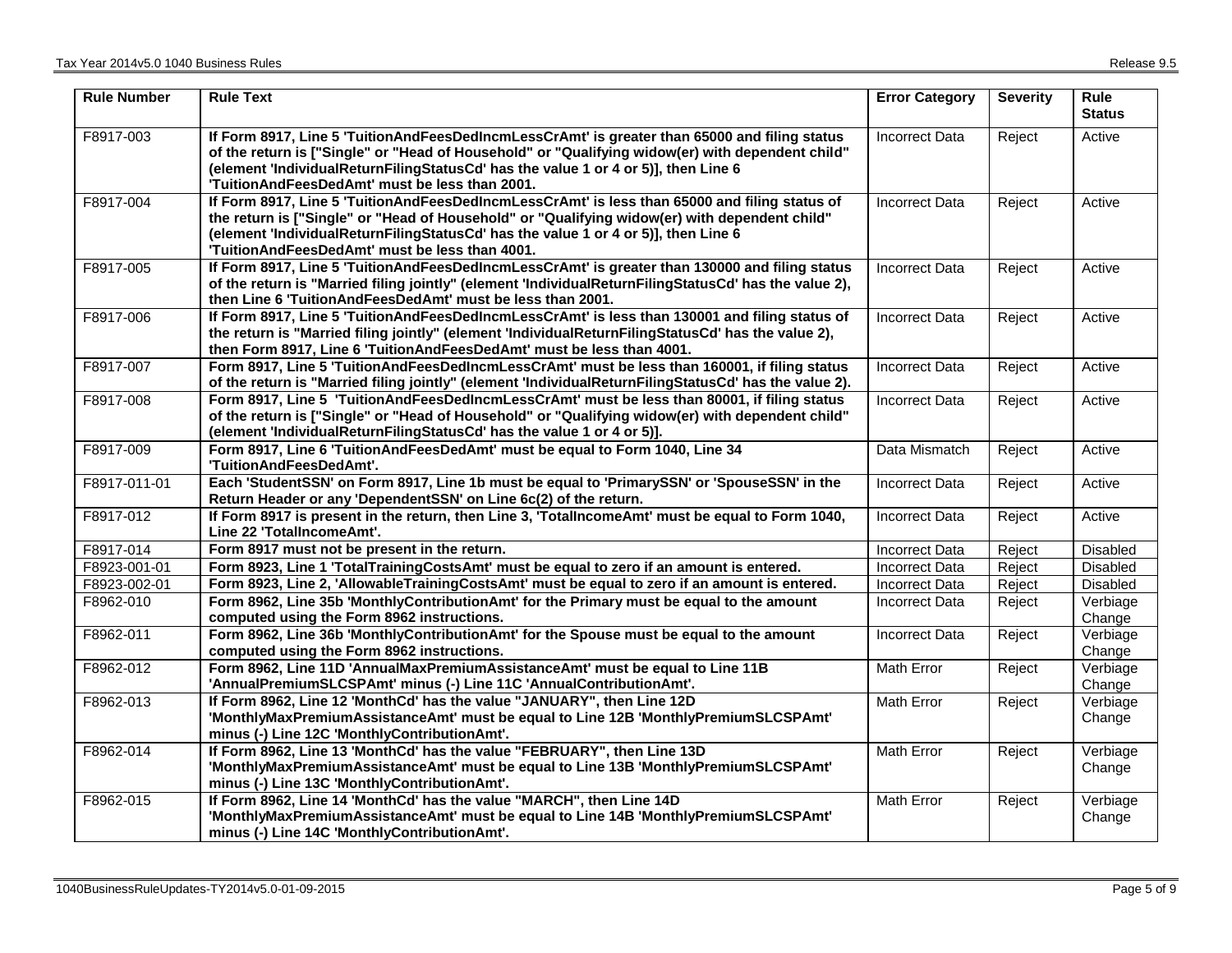| <b>Rule Number</b> | <b>Rule Text</b>                                                                                                                                                                                                                                                                                                                          | <b>Error Category</b> | <b>Severity</b> | <b>Rule</b><br><b>Status</b> |
|--------------------|-------------------------------------------------------------------------------------------------------------------------------------------------------------------------------------------------------------------------------------------------------------------------------------------------------------------------------------------|-----------------------|-----------------|------------------------------|
| F8917-003          | If Form 8917, Line 5 'TuitionAndFeesDedIncmLessCrAmt' is greater than 65000 and filing status<br>of the return is ["Single" or "Head of Household" or "Qualifying widow(er) with dependent child"<br>(element 'IndividualReturnFilingStatusCd' has the value 1 or 4 or 5)], then Line 6<br>'TuitionAndFeesDedAmt' must be less than 2001. | <b>Incorrect Data</b> | Reject          | Active                       |
| F8917-004          | If Form 8917, Line 5 'TuitionAndFeesDedIncmLessCrAmt' is less than 65000 and filing status of<br>the return is ["Single" or "Head of Household" or "Qualifying widow(er) with dependent child"<br>(element 'IndividualReturnFilingStatusCd' has the value 1 or 4 or 5)], then Line 6<br>'TuitionAndFeesDedAmt' must be less than 4001.    | <b>Incorrect Data</b> | Reject          | Active                       |
| F8917-005          | If Form 8917, Line 5 'TuitionAndFeesDedIncmLessCrAmt' is greater than 130000 and filing status<br>of the return is "Married filing jointly" (element 'IndividualReturnFilingStatusCd' has the value 2),<br>then Line 6 'TuitionAndFeesDedAmt' must be less than 2001.                                                                     | <b>Incorrect Data</b> | Reject          | Active                       |
| F8917-006          | If Form 8917, Line 5 'TuitionAndFeesDedIncmLessCrAmt' is less than 130001 and filing status of<br>the return is "Married filing jointly" (element 'IndividualReturnFilingStatusCd' has the value 2),<br>then Form 8917, Line 6 'TuitionAndFeesDedAmt' must be less than 4001.                                                             | <b>Incorrect Data</b> | Reject          | Active                       |
| F8917-007          | Form 8917, Line 5 'TuitionAndFeesDedIncmLessCrAmt' must be less than 160001, if filing status<br>of the return is "Married filing jointly" (element 'IndividualReturnFilingStatusCd' has the value 2).                                                                                                                                    | <b>Incorrect Data</b> | Reject          | Active                       |
| F8917-008          | Form 8917, Line 5 'TuitionAndFeesDedIncmLessCrAmt' must be less than 80001, if filing status<br>of the return is ["Single" or "Head of Household" or "Qualifying widow(er) with dependent child"<br>(element 'IndividualReturnFilingStatusCd' has the value 1 or 4 or 5)].                                                                | <b>Incorrect Data</b> | Reject          | Active                       |
| F8917-009          | Form 8917, Line 6 'TuitionAndFeesDedAmt' must be equal to Form 1040, Line 34<br>'TuitionAndFeesDedAmt'.                                                                                                                                                                                                                                   | Data Mismatch         | Reject          | Active                       |
| F8917-011-01       | Each 'StudentSSN' on Form 8917, Line 1b must be equal to 'PrimarySSN' or 'SpouseSSN' in the<br>Return Header or any 'DependentSSN' on Line 6c(2) of the return.                                                                                                                                                                           | <b>Incorrect Data</b> | Reject          | Active                       |
| F8917-012          | If Form 8917 is present in the return, then Line 3, 'TotalIncomeAmt' must be equal to Form 1040,<br>Line 22 'TotalIncomeAmt'.                                                                                                                                                                                                             | <b>Incorrect Data</b> | Reject          | Active                       |
| F8917-014          | Form 8917 must not be present in the return.                                                                                                                                                                                                                                                                                              | <b>Incorrect Data</b> | Reject          | Disabled                     |
| F8923-001-01       | Form 8923, Line 1 'TotalTrainingCostsAmt' must be equal to zero if an amount is entered.                                                                                                                                                                                                                                                  | <b>Incorrect Data</b> | Reject          | Disabled                     |
| F8923-002-01       | Form 8923, Line 2, 'AllowableTrainingCostsAmt' must be equal to zero if an amount is entered.                                                                                                                                                                                                                                             | <b>Incorrect Data</b> | Reject          | Disabled                     |
| F8962-010          | Form 8962, Line 35b 'MonthlyContributionAmt' for the Primary must be equal to the amount<br>computed using the Form 8962 instructions.                                                                                                                                                                                                    | <b>Incorrect Data</b> | Reject          | Verbiage<br>Change           |
| F8962-011          | Form 8962, Line 36b 'MonthlyContributionAmt' for the Spouse must be equal to the amount<br>computed using the Form 8962 instructions.                                                                                                                                                                                                     | Incorrect Data        | Reject          | Verbiage<br>Change           |
| F8962-012          | Form 8962, Line 11D 'AnnualMaxPremiumAssistanceAmt' must be equal to Line 11B<br>'AnnualPremiumSLCSPAmt' minus (-) Line 11C 'AnnualContributionAmt'.                                                                                                                                                                                      | Math Error            | Reject          | Verbiage<br>Change           |
| F8962-013          | If Form 8962, Line 12 'MonthCd' has the value "JANUARY", then Line 12D<br>'MonthlyMaxPremiumAssistanceAmt' must be equal to Line 12B 'MonthlyPremiumSLCSPAmt'<br>minus (-) Line 12C 'MonthlyContributionAmt'.                                                                                                                             | Math Error            | Reject          | Verbiage<br>Change           |
| F8962-014          | If Form 8962, Line 13 'MonthCd' has the value "FEBRUARY", then Line 13D<br>'MonthlyMaxPremiumAssistanceAmt' must be equal to Line 13B 'MonthlyPremiumSLCSPAmt'<br>minus (-) Line 13C 'MonthlyContributionAmt'.                                                                                                                            | Math Error            | Reject          | Verbiage<br>Change           |
| F8962-015          | If Form 8962, Line 14 'MonthCd' has the value "MARCH", then Line 14D<br>'MonthlyMaxPremiumAssistanceAmt' must be equal to Line 14B 'MonthlyPremiumSLCSPAmt'<br>minus (-) Line 14C 'MonthlyContributionAmt'.                                                                                                                               | Math Error            | Reject          | Verbiage<br>Change           |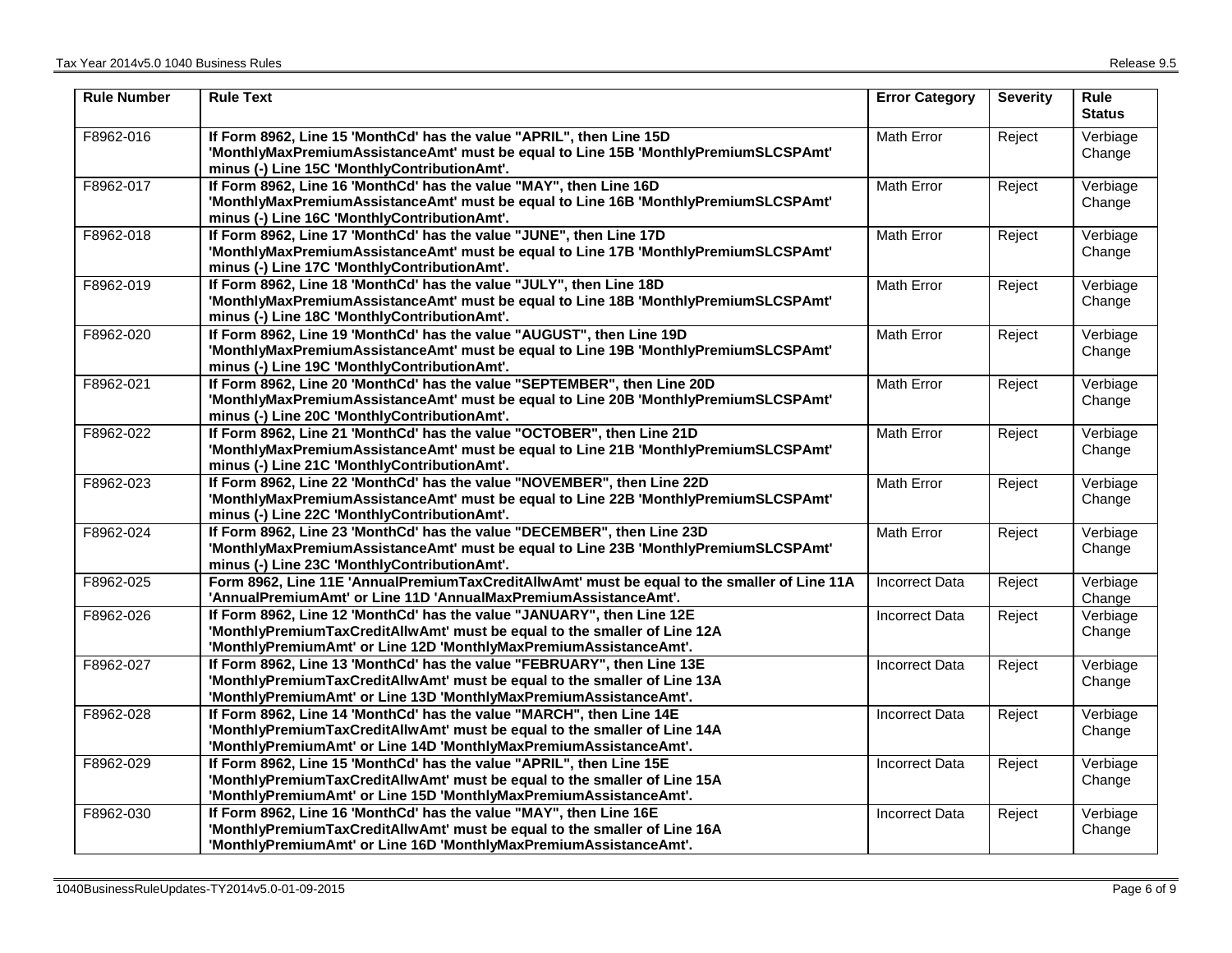| <b>Rule Number</b> | <b>Rule Text</b>                                                                                                                                                                                                          | <b>Error Category</b> | <b>Severity</b> | <b>Rule</b><br><b>Status</b> |
|--------------------|---------------------------------------------------------------------------------------------------------------------------------------------------------------------------------------------------------------------------|-----------------------|-----------------|------------------------------|
| F8962-016          | If Form 8962, Line 15 'MonthCd' has the value "APRIL", then Line 15D<br>'MonthlyMaxPremiumAssistanceAmt' must be equal to Line 15B 'MonthlyPremiumSLCSPAmt'<br>minus (-) Line 15C 'MonthlyContributionAmt'.               | Math Error            | Reject          | Verbiage<br>Change           |
| F8962-017          | If Form 8962, Line 16 'MonthCd' has the value "MAY", then Line 16D<br>'MonthlyMaxPremiumAssistanceAmt' must be equal to Line 16B 'MonthlyPremiumSLCSPAmt'<br>minus (-) Line 16C 'MonthlyContributionAmt'.                 | Math Error            | Reject          | Verbiage<br>Change           |
| F8962-018          | If Form 8962, Line 17 'MonthCd' has the value "JUNE", then Line 17D<br>'MonthlyMaxPremiumAssistanceAmt' must be equal to Line 17B 'MonthlyPremiumSLCSPAmt'<br>minus (-) Line 17C 'MonthlyContributionAmt'.                | Math Error            | Reject          | Verbiage<br>Change           |
| F8962-019          | If Form 8962, Line 18 'MonthCd' has the value "JULY", then Line 18D<br>'MonthlyMaxPremiumAssistanceAmt' must be equal to Line 18B 'MonthlyPremiumSLCSPAmt'<br>minus (-) Line 18C 'MonthlyContributionAmt'.                | Math Error            | Reject          | Verbiage<br>Change           |
| F8962-020          | If Form 8962, Line 19 'MonthCd' has the value "AUGUST", then Line 19D<br>'MonthlyMaxPremiumAssistanceAmt' must be equal to Line 19B 'MonthlyPremiumSLCSPAmt'<br>minus (-) Line 19C 'MonthlyContributionAmt'.              | Math Error            | Reject          | Verbiage<br>Change           |
| F8962-021          | If Form 8962, Line 20 'MonthCd' has the value "SEPTEMBER", then Line 20D<br>'MonthlyMaxPremiumAssistanceAmt' must be equal to Line 20B 'MonthlyPremiumSLCSPAmt'<br>minus (-) Line 20C 'MonthlyContributionAmt'.           | Math Error            | Reject          | Verbiage<br>Change           |
| F8962-022          | If Form 8962, Line 21 'MonthCd' has the value "OCTOBER", then Line 21D<br>'MonthlyMaxPremiumAssistanceAmt' must be equal to Line 21B 'MonthlyPremiumSLCSPAmt'<br>minus (-) Line 21C 'MonthlyContributionAmt'.             | Math Error            | Reject          | Verbiage<br>Change           |
| F8962-023          | If Form 8962, Line 22 'MonthCd' has the value "NOVEMBER", then Line 22D<br>'MonthlyMaxPremiumAssistanceAmt' must be equal to Line 22B 'MonthlyPremiumSLCSPAmt'<br>minus (-) Line 22C 'MonthlyContributionAmt'.            | Math Error            | Reject          | Verbiage<br>Change           |
| F8962-024          | If Form 8962, Line 23 'MonthCd' has the value "DECEMBER", then Line 23D<br>'MonthlyMaxPremiumAssistanceAmt' must be equal to Line 23B 'MonthlyPremiumSLCSPAmt'<br>minus (-) Line 23C 'MonthlyContributionAmt'.            | Math Error            | Reject          | Verbiage<br>Change           |
| F8962-025          | Form 8962, Line 11E 'AnnualPremiumTaxCreditAllwAmt' must be equal to the smaller of Line 11A<br>'AnnualPremiumAmt' or Line 11D 'AnnualMaxPremiumAssistanceAmt'.                                                           | Incorrect Data        | Reject          | Verbiage<br>Change           |
| F8962-026          | If Form 8962, Line 12 'MonthCd' has the value "JANUARY", then Line 12E<br>'MonthlyPremiumTaxCreditAllwAmt' must be equal to the smaller of Line 12A<br>'MonthlyPremiumAmt' or Line 12D 'MonthlyMaxPremiumAssistanceAmt'.  | <b>Incorrect Data</b> | Reject          | Verbiage<br>Change           |
| F8962-027          | If Form 8962, Line 13 'MonthCd' has the value "FEBRUARY", then Line 13E<br>'MonthlyPremiumTaxCreditAllwAmt' must be equal to the smaller of Line 13A<br>'MonthlyPremiumAmt' or Line 13D 'MonthlyMaxPremiumAssistanceAmt'. | <b>Incorrect Data</b> | Reject          | Verbiage<br>Change           |
| F8962-028          | If Form 8962, Line 14 'MonthCd' has the value "MARCH", then Line 14E<br>'MonthlyPremiumTaxCreditAllwAmt' must be equal to the smaller of Line 14A<br>'MonthlyPremiumAmt' or Line 14D 'MonthlyMaxPremiumAssistanceAmt'.    | <b>Incorrect Data</b> | Reject          | Verbiage<br>Change           |
| F8962-029          | If Form 8962, Line 15 'MonthCd' has the value "APRIL", then Line 15E<br>'MonthlyPremiumTaxCreditAllwAmt' must be equal to the smaller of Line 15A<br>'MonthlyPremiumAmt' or Line 15D 'MonthlyMaxPremiumAssistanceAmt'.    | <b>Incorrect Data</b> | Reject          | Verbiage<br>Change           |
| F8962-030          | If Form 8962, Line 16 'MonthCd' has the value "MAY", then Line 16E<br>'MonthlyPremiumTaxCreditAllwAmt' must be equal to the smaller of Line 16A<br>'MonthlyPremiumAmt' or Line 16D 'MonthlyMaxPremiumAssistanceAmt'.      | <b>Incorrect Data</b> | Reject          | Verbiage<br>Change           |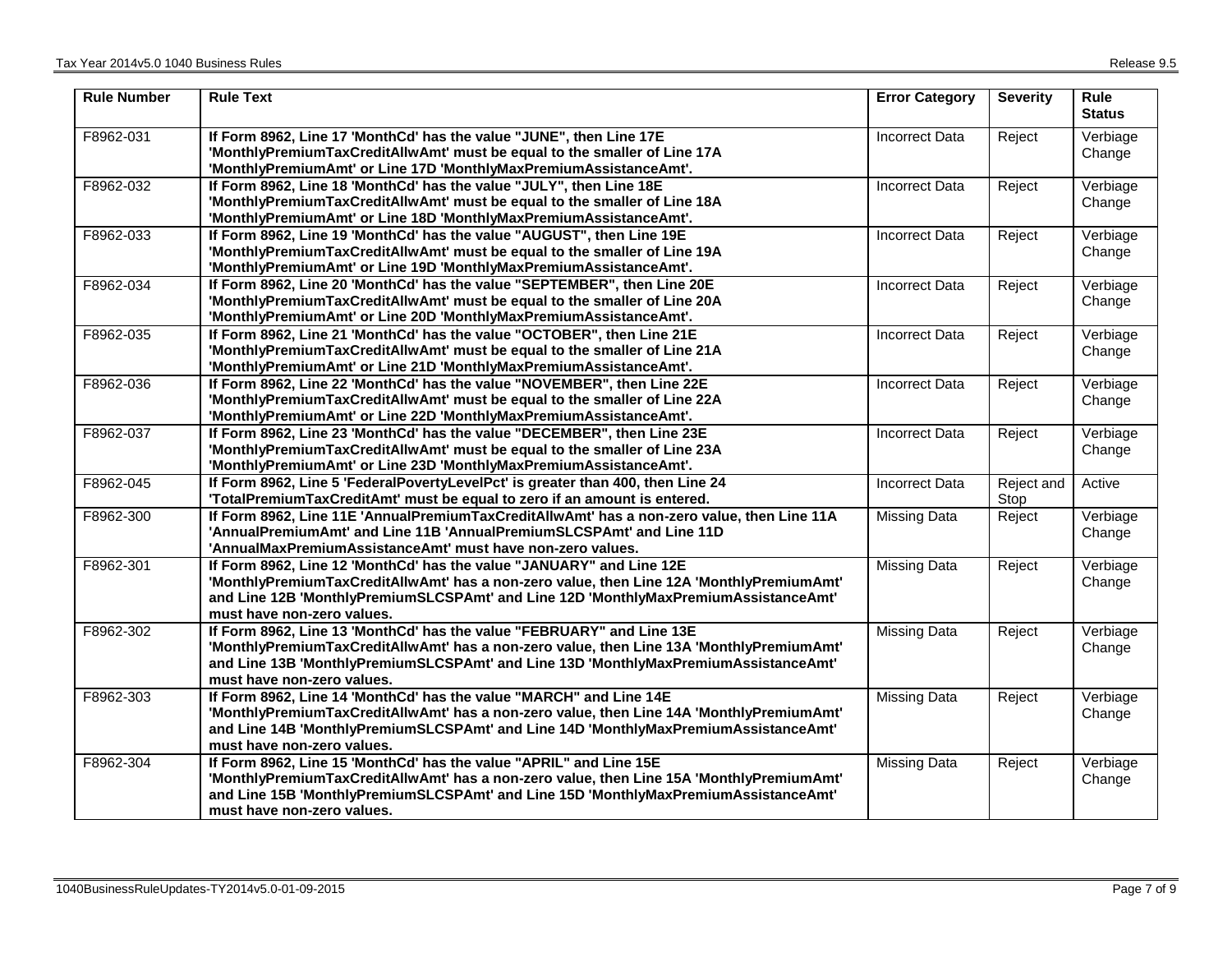| <b>Rule Number</b> | <b>Rule Text</b>                                                                                                                                                                                                                                                                       | <b>Error Category</b> | <b>Severity</b>    | Rule<br><b>Status</b> |
|--------------------|----------------------------------------------------------------------------------------------------------------------------------------------------------------------------------------------------------------------------------------------------------------------------------------|-----------------------|--------------------|-----------------------|
| F8962-031          | If Form 8962, Line 17 'MonthCd' has the value "JUNE", then Line 17E<br>'MonthlyPremiumTaxCreditAllwAmt' must be equal to the smaller of Line 17A<br>'MonthlyPremiumAmt' or Line 17D 'MonthlyMaxPremiumAssistanceAmt'.                                                                  | <b>Incorrect Data</b> | Reject             | Verbiage<br>Change    |
| F8962-032          | If Form 8962, Line 18 'MonthCd' has the value "JULY", then Line 18E<br>'MonthlyPremiumTaxCreditAllwAmt' must be equal to the smaller of Line 18A<br>'MonthlyPremiumAmt' or Line 18D 'MonthlyMaxPremiumAssistanceAmt'.                                                                  | Incorrect Data        | Reject             | Verbiage<br>Change    |
| F8962-033          | If Form 8962, Line 19 'MonthCd' has the value "AUGUST", then Line 19E<br>'MonthlyPremiumTaxCreditAllwAmt' must be equal to the smaller of Line 19A<br>'MonthlyPremiumAmt' or Line 19D 'MonthlyMaxPremiumAssistanceAmt'.                                                                | <b>Incorrect Data</b> | Reject             | Verbiage<br>Change    |
| F8962-034          | If Form 8962, Line 20 'MonthCd' has the value "SEPTEMBER", then Line 20E<br>'MonthlyPremiumTaxCreditAllwAmt' must be equal to the smaller of Line 20A<br>'MonthlyPremiumAmt' or Line 20D 'MonthlyMaxPremiumAssistanceAmt'.                                                             | <b>Incorrect Data</b> | Reject             | Verbiage<br>Change    |
| F8962-035          | If Form 8962, Line 21 'MonthCd' has the value "OCTOBER", then Line 21E<br>'MonthlyPremiumTaxCreditAllwAmt' must be equal to the smaller of Line 21A<br>'MonthlyPremiumAmt' or Line 21D 'MonthlyMaxPremiumAssistanceAmt'.                                                               | <b>Incorrect Data</b> | Reject             | Verbiage<br>Change    |
| F8962-036          | If Form 8962, Line 22 'MonthCd' has the value "NOVEMBER", then Line 22E<br>'MonthlyPremiumTaxCreditAllwAmt' must be equal to the smaller of Line 22A<br>'MonthlyPremiumAmt' or Line 22D 'MonthlyMaxPremiumAssistanceAmt'.                                                              | <b>Incorrect Data</b> | Reject             | Verbiage<br>Change    |
| F8962-037          | If Form 8962, Line 23 'MonthCd' has the value "DECEMBER", then Line 23E<br>'MonthlyPremiumTaxCreditAllwAmt' must be equal to the smaller of Line 23A<br>'MonthlyPremiumAmt' or Line 23D 'MonthlyMaxPremiumAssistanceAmt'.                                                              | <b>Incorrect Data</b> | Reject             | Verbiage<br>Change    |
| F8962-045          | If Form 8962, Line 5 'FederalPovertyLevelPct' is greater than 400, then Line 24<br>'TotalPremiumTaxCreditAmt' must be equal to zero if an amount is entered.                                                                                                                           | <b>Incorrect Data</b> | Reject and<br>Stop | Active                |
| F8962-300          | If Form 8962, Line 11E 'AnnualPremiumTaxCreditAllwAmt' has a non-zero value, then Line 11A<br>'AnnualPremiumAmt' and Line 11B 'AnnualPremiumSLCSPAmt' and Line 11D<br>'AnnualMaxPremiumAssistanceAmt' must have non-zero values.                                                       | <b>Missing Data</b>   | Reject             | Verbiage<br>Change    |
| F8962-301          | If Form 8962, Line 12 'MonthCd' has the value "JANUARY" and Line 12E<br>'MonthlyPremiumTaxCreditAllwAmt' has a non-zero value, then Line 12A 'MonthlyPremiumAmt'<br>and Line 12B 'MonthlyPremiumSLCSPAmt' and Line 12D 'MonthlyMaxPremiumAssistanceAmt'<br>must have non-zero values.  | <b>Missing Data</b>   | Reject             | Verbiage<br>Change    |
| F8962-302          | If Form 8962, Line 13 'MonthCd' has the value "FEBRUARY" and Line 13E<br>'MonthlyPremiumTaxCreditAllwAmt' has a non-zero value, then Line 13A 'MonthlyPremiumAmt'<br>and Line 13B 'MonthlyPremiumSLCSPAmt' and Line 13D 'MonthlyMaxPremiumAssistanceAmt'<br>must have non-zero values. | <b>Missing Data</b>   | Reject             | Verbiage<br>Change    |
| F8962-303          | If Form 8962, Line 14 'MonthCd' has the value "MARCH" and Line 14E<br>'MonthlyPremiumTaxCreditAllwAmt' has a non-zero value, then Line 14A 'MonthlyPremiumAmt'<br>and Line 14B 'MonthlyPremiumSLCSPAmt' and Line 14D 'MonthlyMaxPremiumAssistanceAmt'<br>must have non-zero values.    | <b>Missing Data</b>   | Reject             | Verbiage<br>Change    |
| F8962-304          | If Form 8962, Line 15 'MonthCd' has the value "APRIL" and Line 15E<br>'MonthlyPremiumTaxCreditAllwAmt' has a non-zero value, then Line 15A 'MonthlyPremiumAmt'<br>and Line 15B 'MonthlyPremiumSLCSPAmt' and Line 15D 'MonthlyMaxPremiumAssistanceAmt'<br>must have non-zero values.    | <b>Missing Data</b>   | Reject             | Verbiage<br>Change    |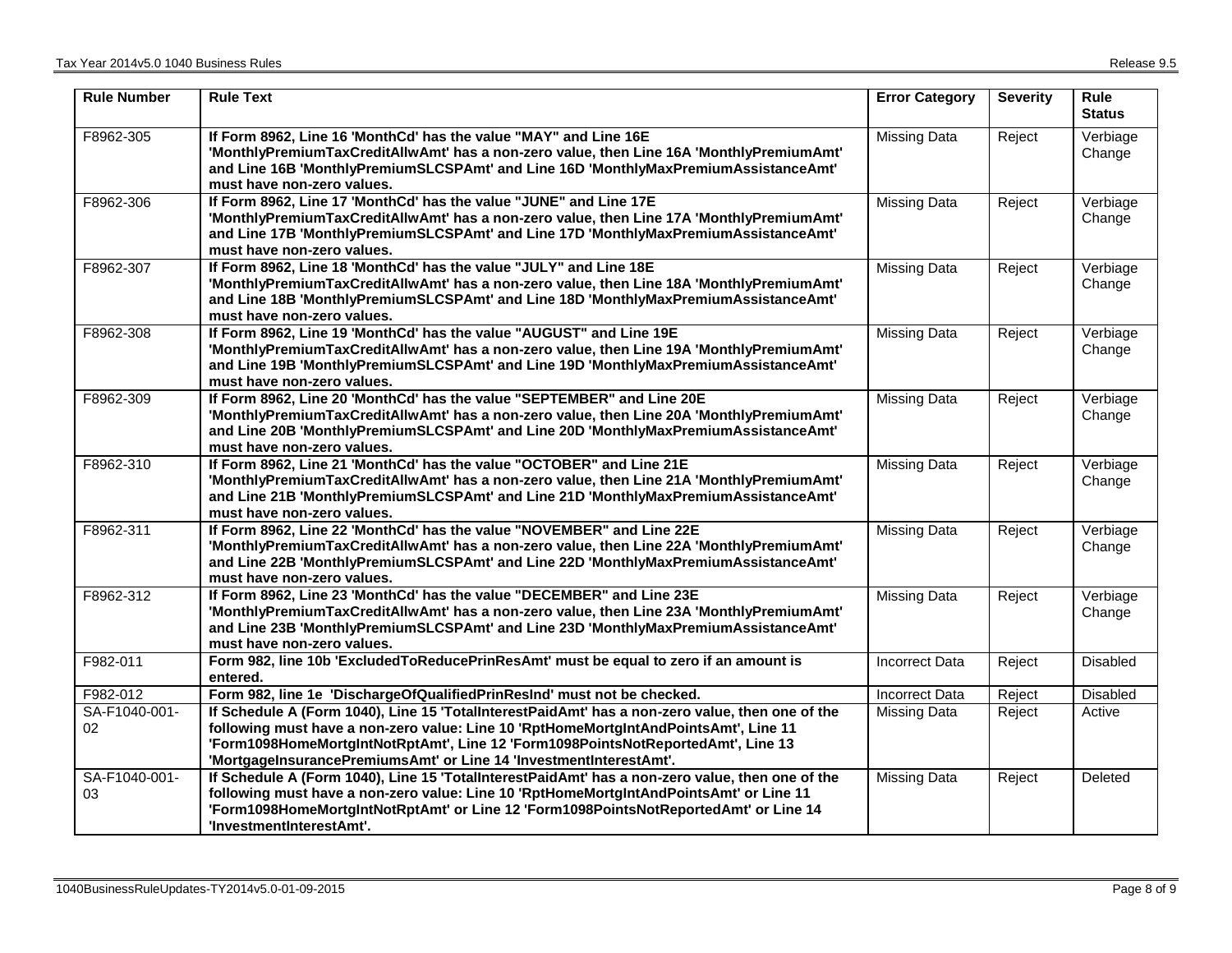| <b>Rule Number</b>  | <b>Rule Text</b>                                                                                                                                                                                                                                                                                                                                  | <b>Error Category</b> | <b>Severity</b> | <b>Rule</b><br><b>Status</b> |
|---------------------|---------------------------------------------------------------------------------------------------------------------------------------------------------------------------------------------------------------------------------------------------------------------------------------------------------------------------------------------------|-----------------------|-----------------|------------------------------|
| F8962-305           | If Form 8962, Line 16 'MonthCd' has the value "MAY" and Line 16E<br>'MonthlyPremiumTaxCreditAllwAmt' has a non-zero value, then Line 16A 'MonthlyPremiumAmt'<br>and Line 16B 'MonthlyPremiumSLCSPAmt' and Line 16D 'MonthlyMaxPremiumAssistanceAmt'<br>must have non-zero values.                                                                 | <b>Missing Data</b>   | Reject          | Verbiage<br>Change           |
| F8962-306           | If Form 8962, Line 17 'MonthCd' has the value "JUNE" and Line 17E<br>'MonthlyPremiumTaxCreditAllwAmt' has a non-zero value, then Line 17A 'MonthlyPremiumAmt'<br>and Line 17B 'MonthlyPremiumSLCSPAmt' and Line 17D 'MonthlyMaxPremiumAssistanceAmt'<br>must have non-zero values.                                                                | <b>Missing Data</b>   | Reject          | Verbiage<br>Change           |
| F8962-307           | If Form 8962, Line 18 'MonthCd' has the value "JULY" and Line 18E<br>'MonthlyPremiumTaxCreditAllwAmt' has a non-zero value, then Line 18A 'MonthlyPremiumAmt'<br>and Line 18B 'MonthlyPremiumSLCSPAmt' and Line 18D 'MonthlyMaxPremiumAssistanceAmt'<br>must have non-zero values.                                                                | <b>Missing Data</b>   | Reject          | Verbiage<br>Change           |
| F8962-308           | If Form 8962, Line 19 'MonthCd' has the value "AUGUST" and Line 19E<br>'MonthlyPremiumTaxCreditAllwAmt' has a non-zero value, then Line 19A 'MonthlyPremiumAmt'<br>and Line 19B 'MonthlyPremiumSLCSPAmt' and Line 19D 'MonthlyMaxPremiumAssistanceAmt'<br>must have non-zero values.                                                              | <b>Missing Data</b>   | Reject          | Verbiage<br>Change           |
| F8962-309           | If Form 8962, Line 20 'MonthCd' has the value "SEPTEMBER" and Line 20E<br>'MonthlyPremiumTaxCreditAllwAmt' has a non-zero value, then Line 20A 'MonthlyPremiumAmt'<br>and Line 20B 'MonthlyPremiumSLCSPAmt' and Line 20D 'MonthlyMaxPremiumAssistanceAmt'<br>must have non-zero values.                                                           | <b>Missing Data</b>   | Reject          | Verbiage<br>Change           |
| F8962-310           | If Form 8962, Line 21 'MonthCd' has the value "OCTOBER" and Line 21E<br>'MonthlyPremiumTaxCreditAllwAmt' has a non-zero value, then Line 21A 'MonthlyPremiumAmt'<br>and Line 21B 'MonthlyPremiumSLCSPAmt' and Line 21D 'MonthlyMaxPremiumAssistanceAmt'<br>must have non-zero values.                                                             | <b>Missing Data</b>   | Reject          | Verbiage<br>Change           |
| F8962-311           | If Form 8962, Line 22 'MonthCd' has the value "NOVEMBER" and Line 22E<br>'MonthlyPremiumTaxCreditAllwAmt' has a non-zero value, then Line 22A 'MonthlyPremiumAmt'<br>and Line 22B 'MonthlyPremiumSLCSPAmt' and Line 22D 'MonthlyMaxPremiumAssistanceAmt'<br>must have non-zero values.                                                            | <b>Missing Data</b>   | Reject          | Verbiage<br>Change           |
| F8962-312           | If Form 8962, Line 23 'MonthCd' has the value "DECEMBER" and Line 23E<br>'MonthlyPremiumTaxCreditAllwAmt' has a non-zero value, then Line 23A 'MonthlyPremiumAmt'<br>and Line 23B 'MonthlyPremiumSLCSPAmt' and Line 23D 'MonthlyMaxPremiumAssistanceAmt'<br>must have non-zero values.                                                            | <b>Missing Data</b>   | Reject          | Verbiage<br>Change           |
| F982-011            | Form 982, line 10b 'ExcludedToReducePrinResAmt' must be equal to zero if an amount is<br>entered.                                                                                                                                                                                                                                                 | <b>Incorrect Data</b> | Reject          | <b>Disabled</b>              |
| F982-012            | Form 982, line 1e 'DischargeOfQualifiedPrinResInd' must not be checked.                                                                                                                                                                                                                                                                           | <b>Incorrect Data</b> | Reject          | <b>Disabled</b>              |
| SA-F1040-001-<br>02 | If Schedule A (Form 1040), Line 15 'TotalInterestPaidAmt' has a non-zero value, then one of the<br>following must have a non-zero value: Line 10 'RptHomeMortgIntAndPointsAmt', Line 11<br>'Form1098HomeMortgIntNotRptAmt', Line 12 'Form1098PointsNotReportedAmt', Line 13<br>'MortgageInsurancePremiumsAmt' or Line 14 'InvestmentInterestAmt'. | <b>Missing Data</b>   | Reject          | Active                       |
| SA-F1040-001-<br>03 | If Schedule A (Form 1040), Line 15 'TotalInterestPaidAmt' has a non-zero value, then one of the<br>following must have a non-zero value: Line 10 'RptHomeMortgIntAndPointsAmt' or Line 11<br>'Form1098HomeMortgIntNotRptAmt' or Line 12 'Form1098PointsNotReportedAmt' or Line 14<br>'InvestmentInterestAmt'.                                     | <b>Missing Data</b>   | Reject          | Deleted                      |